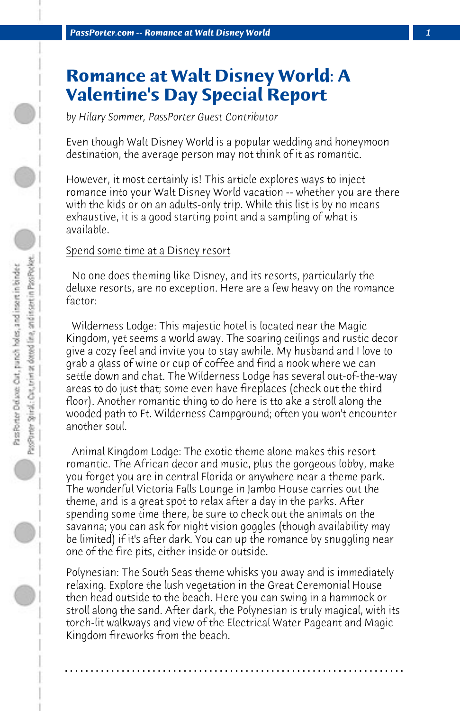# **Romance at Walt Disney World: A Valentine's Day Special Report**

*by Hilary Sommer, PassPorter Guest Contributor*

Even though Walt Disney World is a popular wedding and honeymoon destination, the average person may not think of it as romantic.

However, it most certainly is! This article explores ways to inject romance into your Walt Disney World vacation -- whether you are there with the kids or on an adults-only trip. While this list is by no means exhaustive, it is a good starting point and a sampling of what is available.

#### Spend some time at a Disney resort

 No one does theming like Disney, and its resorts, particularly the deluxe resorts, are no exception. Here are a few heavy on the romance factor:

 Wilderness Lodge: This majestic hotel is located near the Magic Kingdom, yet seems a world away. The soaring ceilings and rustic decor give a cozy feel and invite you to stay awhile. My husband and I love to grab a glass of wine or cup of coffee and find a nook where we can settle down and chat. The Wilderness Lodge has several out-of-the-way areas to do just that; some even have fireplaces (check out the third floor). Another romantic thing to do here is tto ake a stroll along the wooded path to Ft. Wilderness Campground; often you won't encounter another soul.

 Animal Kingdom Lodge: The exotic theme alone makes this resort romantic. The African decor and music, plus the gorgeous lobby, make you forget you are in central Florida or anywhere near a theme park. The wonderful Victoria Falls Lounge in Jambo House carries out the theme, and is a great spot to relax after a day in the parks. After spending some time there, be sure to check out the animals on the savanna; you can ask for night vision goggles (though availability may be limited) if it's after dark. You can up the romance by snuggling near one of the fire pits, either inside or outside.

Polynesian: The South Seas theme whisks you away and is immediately relaxing. Explore the lush vegetation in the Great Ceremonial House then head outside to the beach. Here you can swing in a hammock or stroll along the sand. After dark, the Polynesian is truly magical, with its torch-lit walkways and view of the Electrical Water Pageant and Magic Kingdom fireworks from the beach.

**. . . . . . . . . . . . . . . . . . . . . . . . . . . . . . . . . . . . . . . . . . . . . . . . . . . . . . . . . . . . . . . . . .**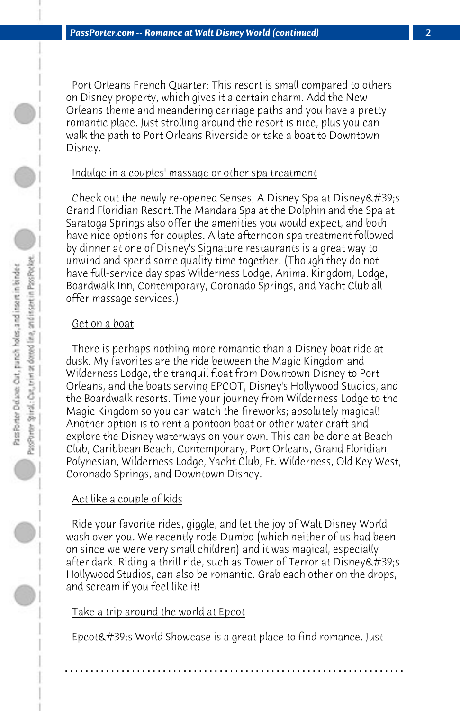Port Orleans French Quarter: This resort is small compared to others on Disney property, which gives it a certain charm. Add the New Orleans theme and meandering carriage paths and you have a pretty romantic place. Just strolling around the resort is nice, plus you can walk the path to Port Orleans Riverside or take a boat to Downtown Disney.

#### Indulge in a couples' massage or other spa treatment

Check out the newly re-opened Senses, A Disney Spa at Disney  $\&\#39$ ; s Grand Floridian Resort.The Mandara Spa at the Dolphin and the Spa at Saratoga Springs also offer the amenities you would expect, and both have nice options for couples. A late afternoon spa treatment followed by dinner at one of Disney's Signature restaurants is a great way to unwind and spend some quality time together. (Though they do not have full-service day spas Wilderness Lodge, Animal Kingdom, Lodge, Boardwalk Inn, Contemporary, Coronado Springs, and Yacht Club all offer massage services.)

#### Get on a boat

 There is perhaps nothing more romantic than a Disney boat ride at dusk. My favorites are the ride between the Magic Kingdom and Wilderness Lodge, the tranquil float from Downtown Disney to Port Orleans, and the boats serving EPCOT, Disney's Hollywood Studios, and the Boardwalk resorts. Time your journey from Wilderness Lodge to the Magic Kingdom so you can watch the fireworks; absolutely magical! Another option is to rent a pontoon boat or other water craft and explore the Disney waterways on your own. This can be done at Beach Club, Caribbean Beach, Contemporary, Port Orleans, Grand Floridian, Polynesian, Wilderness Lodge, Yacht Club, Ft. Wilderness, Old Key West, Coronado Springs, and Downtown Disney.

### Act like a couple of kids

 Ride your favorite rides, giggle, and let the joy of Walt Disney World wash over you. We recently rode Dumbo (which neither of us had been on since we were very small children) and it was magical, especially after dark. Riding a thrill ride, such as Tower of Terror at Disney's Hollywood Studios, can also be romantic. Grab each other on the drops, and scream if you feel like it!

## Take a trip around the world at Epcot

Epcot $\&$ #39;s World Showcase is a great place to find romance. Just

**. . . . . . . . . . . . . . . . . . . . . . . . . . . . . . . . . . . . . . . . . . . . . . . . . . . . . . . . . . . . . . . . . .**